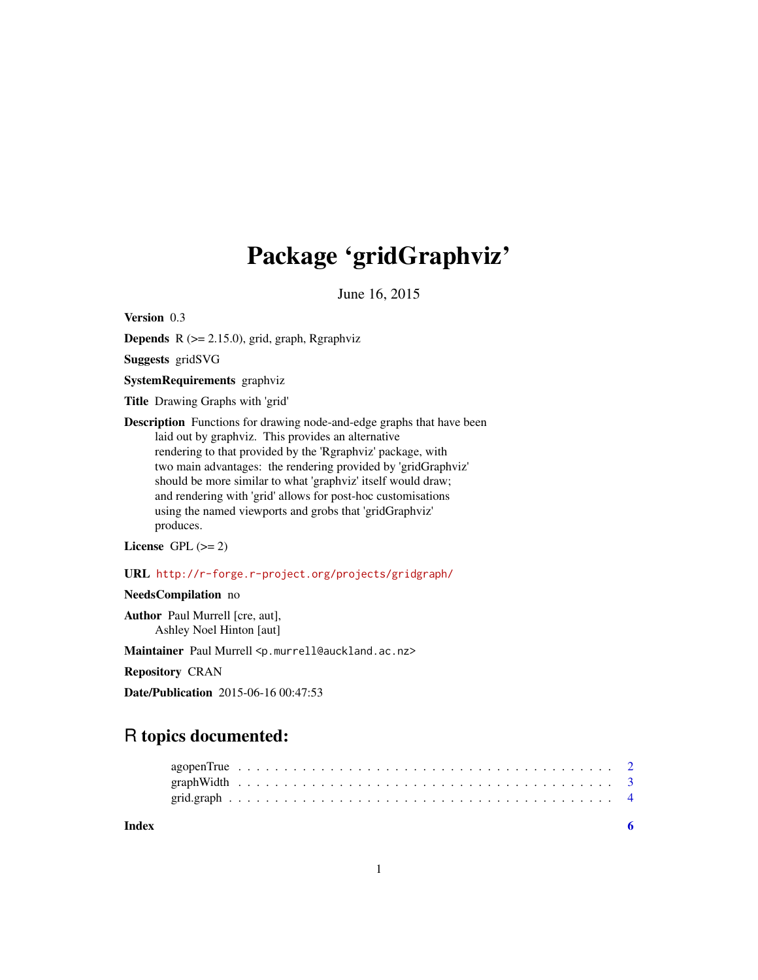# Package 'gridGraphviz'

June 16, 2015

<span id="page-0-0"></span>Version 0.3

**Depends** R  $(>= 2.15.0)$ , grid, graph, Rgraphviz

Suggests gridSVG

SystemRequirements graphviz

Title Drawing Graphs with 'grid'

Description Functions for drawing node-and-edge graphs that have been laid out by graphviz. This provides an alternative rendering to that provided by the 'Rgraphviz' package, with two main advantages: the rendering provided by 'gridGraphviz' should be more similar to what 'graphviz' itself would draw; and rendering with 'grid' allows for post-hoc customisations using the named viewports and grobs that 'gridGraphviz' produces.

License GPL  $(>= 2)$ 

URL <http://r-forge.r-project.org/projects/gridgraph/>

NeedsCompilation no

Author Paul Murrell [cre, aut], Ashley Noel Hinton [aut]

Maintainer Paul Murrell <p.murrell@auckland.ac.nz>

Repository CRAN

Date/Publication 2015-06-16 00:47:53

# R topics documented:

| Index |  |  |  |  |  |  |  |  |  |  |  |  |  |  |  |  |  |  |  |  |  |
|-------|--|--|--|--|--|--|--|--|--|--|--|--|--|--|--|--|--|--|--|--|--|
|       |  |  |  |  |  |  |  |  |  |  |  |  |  |  |  |  |  |  |  |  |  |
|       |  |  |  |  |  |  |  |  |  |  |  |  |  |  |  |  |  |  |  |  |  |
|       |  |  |  |  |  |  |  |  |  |  |  |  |  |  |  |  |  |  |  |  |  |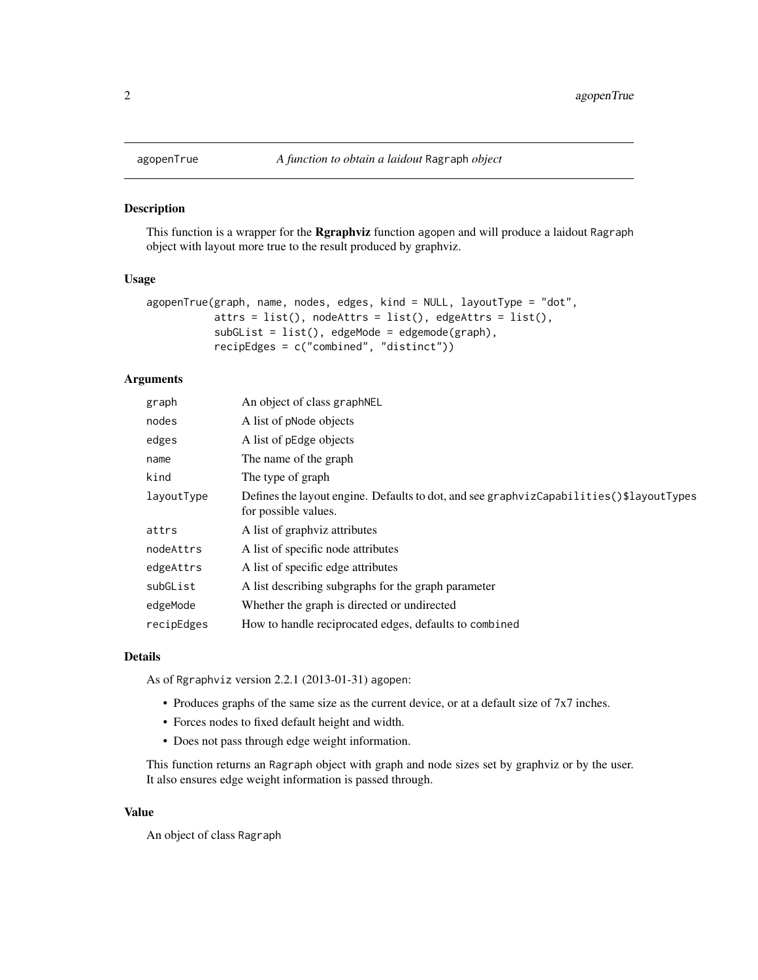<span id="page-1-0"></span>

#### Description

This function is a wrapper for the Rgraphviz function agopen and will produce a laidout Ragraph object with layout more true to the result produced by graphviz.

#### Usage

```
agopenTrue(graph, name, nodes, edges, kind = NULL, layoutType = "dot",
           attrs = list(), nodeAttrs = list(), edgeAttrs = list(),
           subGList = list(), edgeMode = edgemode(graph),
           recipEdges = c("combined", "distinct"))
```
#### Arguments

| An object of class graph NEL                                                                                     |
|------------------------------------------------------------------------------------------------------------------|
| A list of pNode objects                                                                                          |
| A list of pEdge objects                                                                                          |
| The name of the graph                                                                                            |
| The type of graph                                                                                                |
| Defines the layout engine. Defaults to dot, and see graphvizCapabilities ()\$layoutTypes<br>for possible values. |
| A list of graphyiz attributes                                                                                    |
| A list of specific node attributes                                                                               |
| A list of specific edge attributes                                                                               |
| A list describing subgraphs for the graph parameter                                                              |
| Whether the graph is directed or undirected                                                                      |
| How to handle reciprocated edges, defaults to combined                                                           |
|                                                                                                                  |

#### Details

As of Rgraphviz version 2.2.1 (2013-01-31) agopen:

- Produces graphs of the same size as the current device, or at a default size of 7x7 inches.
- Forces nodes to fixed default height and width.
- Does not pass through edge weight information.

This function returns an Ragraph object with graph and node sizes set by graphviz or by the user. It also ensures edge weight information is passed through.

#### Value

An object of class Ragraph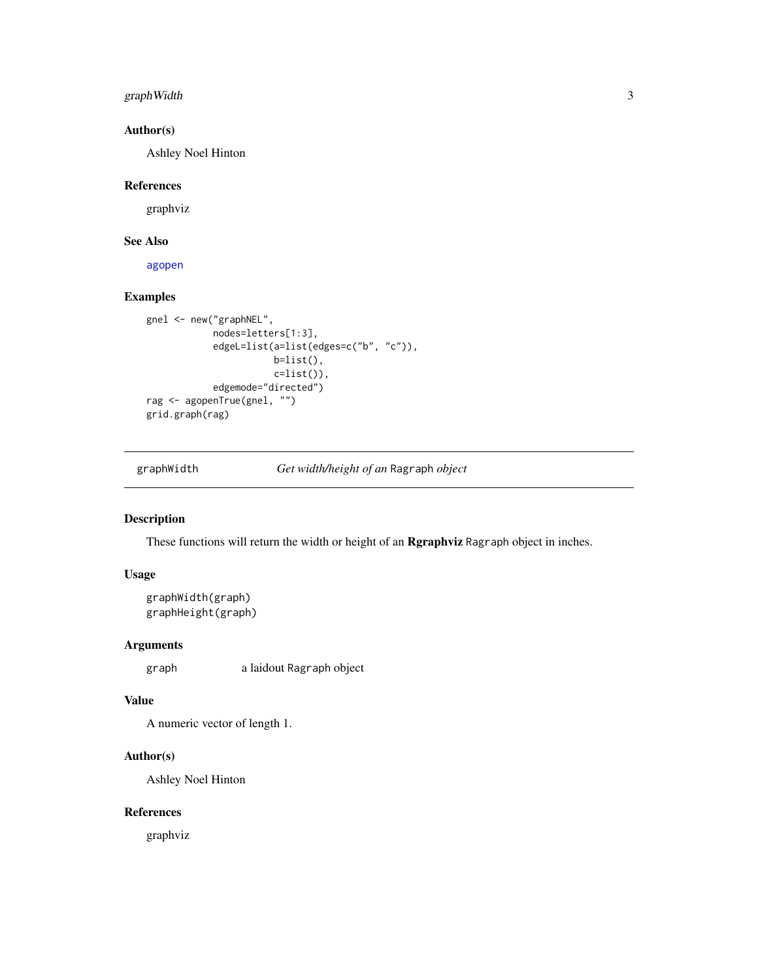#### <span id="page-2-0"></span>graphWidth 3

#### Author(s)

Ashley Noel Hinton

#### References

graphviz

#### See Also

[agopen](#page-0-0)

#### Examples

```
gnel <- new("graphNEL",
            nodes=letters[1:3],
            edgeL=list(a=list(edges=c("b", "c")),
                       b=list(),
                       c=list()),
            edgemode="directed")
rag <- agopenTrue(gnel, "")
grid.graph(rag)
```
graphWidth *Get width/height of an* Ragraph *object*

#### Description

These functions will return the width or height of an **Rgraphviz** Ragraph object in inches.

#### Usage

```
graphWidth(graph)
graphHeight(graph)
```
#### Arguments

graph a laidout Ragraph object

#### Value

A numeric vector of length 1.

#### Author(s)

Ashley Noel Hinton

#### References

graphviz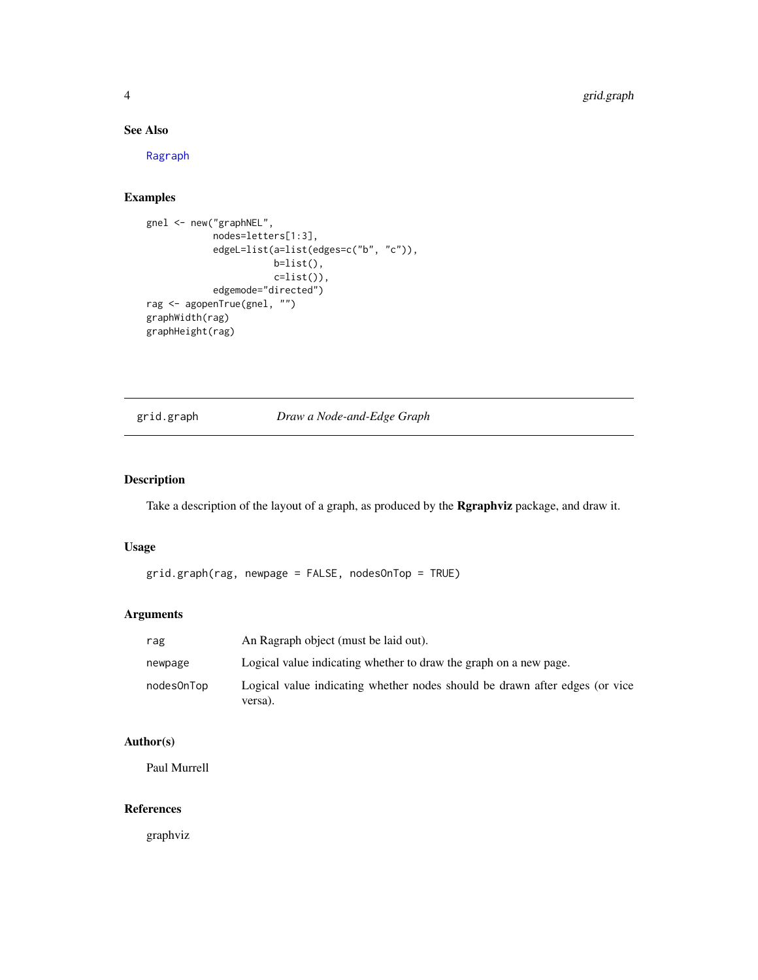#### See Also

[Ragraph](#page-0-0)

## Examples

```
gnel <- new("graphNEL",
            nodes=letters[1:3],
            edgeL=list(a=list(edges=c("b", "c")),
                      b=list(),
                       c=list()),
            edgemode="directed")
rag <- agopenTrue(gnel, "")
graphWidth(rag)
graphHeight(rag)
```
## grid.graph *Draw a Node-and-Edge Graph*

#### Description

Take a description of the layout of a graph, as produced by the Rgraphviz package, and draw it.

#### Usage

grid.graph(rag, newpage = FALSE, nodesOnTop = TRUE)

#### Arguments

| rag        | An Ragraph object (must be laid out).                                                  |
|------------|----------------------------------------------------------------------------------------|
| newpage    | Logical value indicating whether to draw the graph on a new page.                      |
| nodesOnTop | Logical value indicating whether nodes should be drawn after edges (or vice<br>versa). |

#### Author(s)

Paul Murrell

#### References

graphviz

<span id="page-3-0"></span>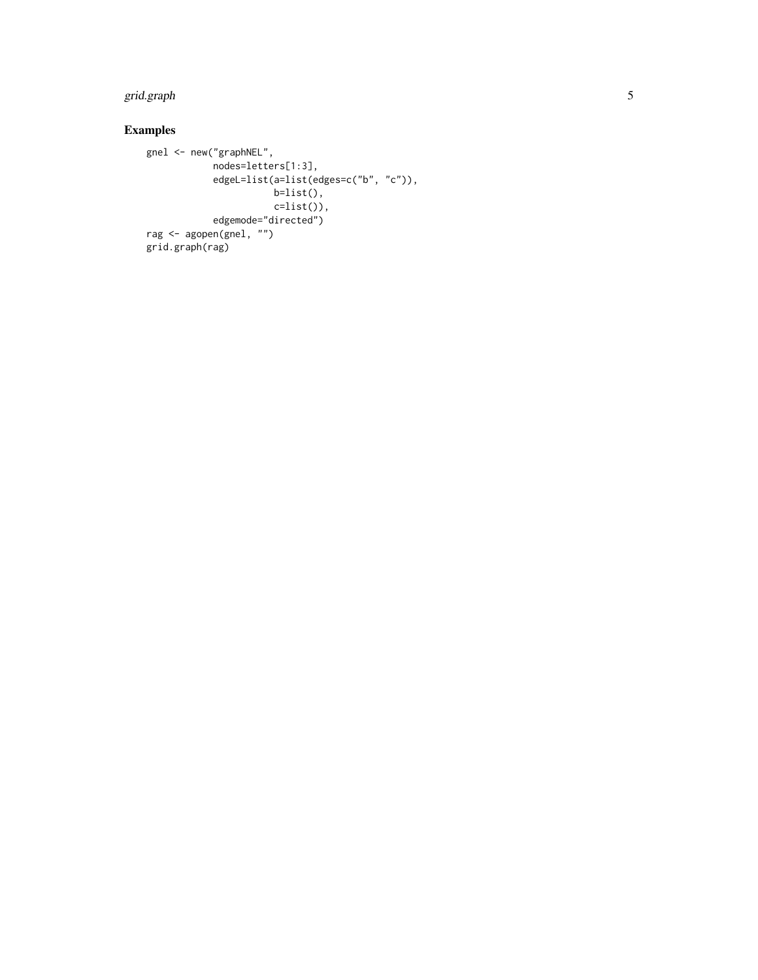# grid.graph

# Examples

```
gnel <- new("graphNEL",
           nodes=letters[1:3],
           edgeL=list(a=list(edges=c("b", "c")),
                     b=list(),
                     c=list()),
           edgemode="directed")
rag <- agopen(gnel, "")
grid.graph(rag)
```